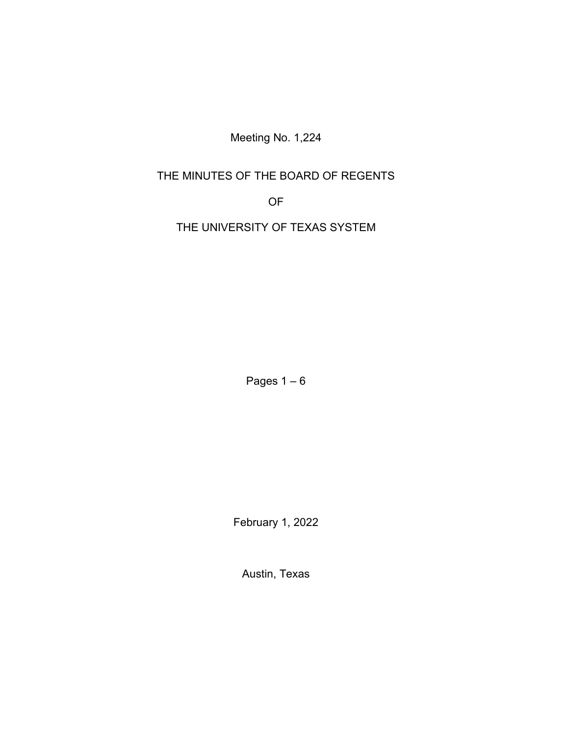Meeting No. 1,224

# THE MINUTES OF THE BOARD OF REGENTS

OF

THE UNIVERSITY OF TEXAS SYSTEM

Pages  $1-6$ 

February 1, 2022

Austin, Texas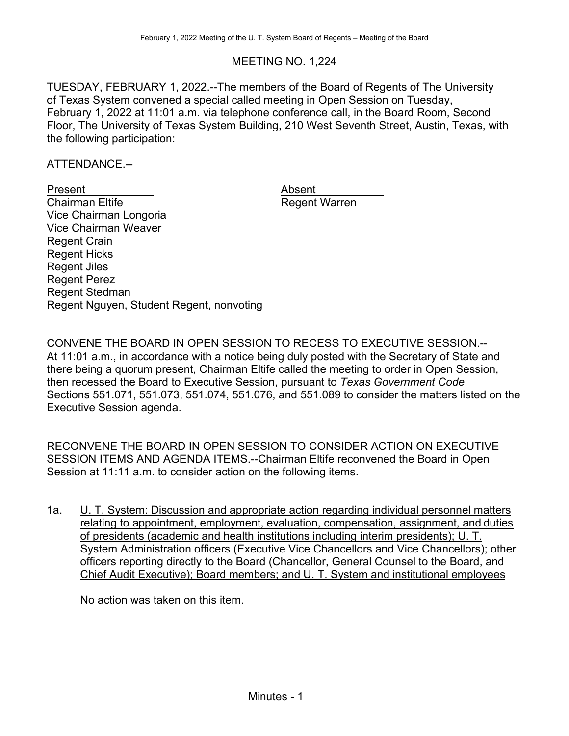## MEETING NO. 1,224

TUESDAY, FEBRUARY 1, 2022.--The members of the Board of Regents of The University of Texas System convened a special called meeting in Open Session on Tuesday, February 1, 2022 at 11:01 a.m. via telephone conference call, in the Board Room, Second Floor, The University of Texas System Building, 210 West Seventh Street, Austin, Texas, with the following participation:

ATTENDANCE.--

Present Absent<br>
Chairman Eltife Chairman Eltife Absent Negeri Negeri Negeri Negeri Negeri Negeri Negeri Negeri Negeri Negeri Vice Chairman Longoria Vice Chairman Weaver Regent Crain Regent Hicks Regent Jiles Regent Perez Regent Stedman Regent Nguyen, Student Regent, nonvoting

Absent<br>Regent Warren

CONVENE THE BOARD IN OPEN SESSION TO RECESS TO EXECUTIVE SESSION.-- At 11:01 a.m., in accordance with a notice being duly posted with the Secretary of State and there being a quorum present, Chairman Eltife called the meeting to order in Open Session, then recessed the Board to Executive Session, pursuant to *Texas Government Code* Sections 551.071, 551.073, 551.074, 551.076, and 551.089 to consider the matters listed on the Executive Session agenda.

RECONVENE THE BOARD IN OPEN SESSION TO CONSIDER ACTION ON EXECUTIVE SESSION ITEMS AND AGENDA ITEMS.--Chairman Eltife reconvened the Board in Open Session at 11:11 a.m. to consider action on the following items.

1a. L. T. System: Discussion and appropriate action regarding individual personnel matters relating to appointment, employment, evaluation, compensation, assignment, and duties of presidents (academic and health institutions including interim presidents); U. T. System Administration officers (Executive Vice Chancellors and Vice Chancellors); other officers reporting directly to the Board (Chancellor, General Counsel to the Board, and Chief Audit Executive); Board members; and U. T. System and institutional employees

No action was taken on this item.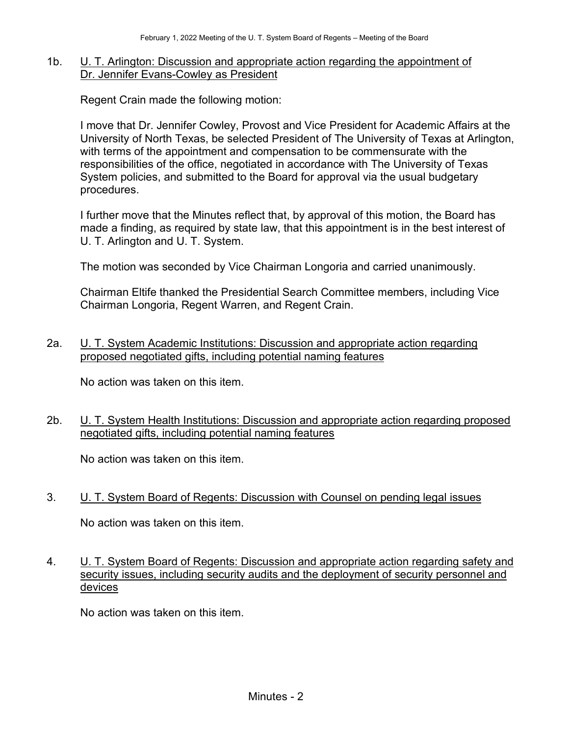#### 1b. U. T. Arlington: Discussion and appropriate action regarding the appointment of Dr. Jennifer Evans-Cowley as President

Regent Crain made the following motion:

I move that Dr. Jennifer Cowley, Provost and Vice President for Academic Affairs at the University of North Texas, be selected President of The University of Texas at Arlington, with terms of the appointment and compensation to be commensurate with the responsibilities of the office, negotiated in accordance with The University of Texas System policies, and submitted to the Board for approval via the usual budgetary procedures.

I further move that the Minutes reflect that, by approval of this motion, the Board has made a finding, as required by state law, that this appointment is in the best interest of U. T. Arlington and U. T. System.

The motion was seconded by Vice Chairman Longoria and carried unanimously.

Chairman Eltife thanked the Presidential Search Committee members, including Vice Chairman Longoria, Regent Warren, and Regent Crain.

2a. U. T. System Academic Institutions: Discussion and appropriate action regarding proposed negotiated gifts, including potential naming features

No action was taken on this item.

2b. U. T. System Health Institutions: Discussion and appropriate action regarding proposed negotiated gifts, including potential naming features

No action was taken on this item.

3. U. T. System Board of Regents: Discussion with Counsel on pending legal issues

No action was taken on this item.

4. U. T. System Board of Regents: Discussion and appropriate action regarding safety and security issues, including security audits and the deployment of security personnel and devices

No action was taken on this item.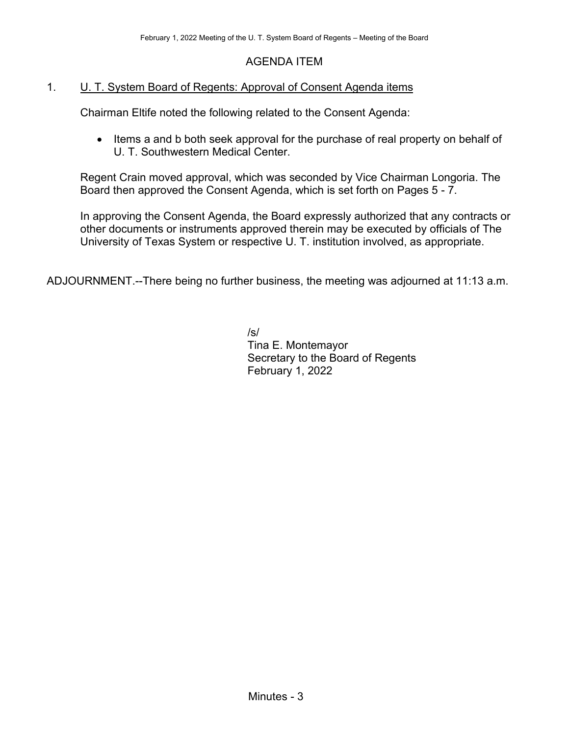### AGENDA ITEM

#### 1. U. T. System Board of Regents: Approval of Consent Agenda items

Chairman Eltife noted the following related to the Consent Agenda:

• Items a and b both seek approval for the purchase of real property on behalf of U. T. Southwestern Medical Center.

Regent Crain moved approval, which was seconded by Vice Chairman Longoria. The Board then approved the Consent Agenda, which is set forth on Pages 5 - 7.

In approving the Consent Agenda, the Board expressly authorized that any contracts or other documents or instruments approved therein may be executed by officials of The University of Texas System or respective U. T. institution involved, as appropriate.

ADJOURNMENT.--There being no further business, the meeting was adjourned at 11:13 a.m.

/s/ Tina E. Montemayor Secretary to the Board of Regents February 1, 2022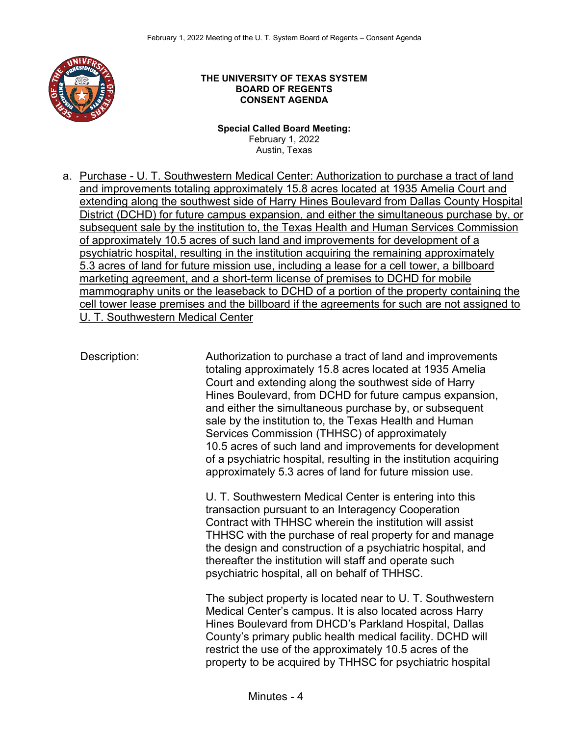

#### **THE UNIVERSITY OF TEXAS SYSTEM BOARD OF REGENTS CONSENT AGENDA**

**Special Called Board Meeting:**  February 1, 2022 Austin, Texas

a. Purchase - U. T. Southwestern Medical Center: Authorization to purchase a tract of land and improvements totaling approximately 15.8 acres located at 1935 Amelia Court and extending along the southwest side of Harry Hines Boulevard from Dallas County Hospital District (DCHD) for future campus expansion, and either the simultaneous purchase by, or subsequent sale by the institution to, the Texas Health and Human Services Commission of approximately 10.5 acres of such land and improvements for development of a psychiatric hospital, resulting in the institution acquiring the remaining approximately 5.3 acres of land for future mission use, including a lease for a cell tower, a billboard marketing agreement, and a short-term license of premises to DCHD for mobile mammography units or the leaseback to DCHD of a portion of the property containing the cell tower lease premises and the billboard if the agreements for such are not assigned to U. T. Southwestern Medical Center

Description: Authorization to purchase a tract of land and improvements totaling approximately 15.8 acres located at 1935 Amelia Court and extending along the southwest side of Harry Hines Boulevard, from DCHD for future campus expansion, and either the simultaneous purchase by, or subsequent sale by the institution to, the Texas Health and Human Services Commission (THHSC) of approximately 10.5 acres of such land and improvements for development of a psychiatric hospital, resulting in the institution acquiring approximately 5.3 acres of land for future mission use.

> U. T. Southwestern Medical Center is entering into this transaction pursuant to an Interagency Cooperation Contract with THHSC wherein the institution will assist THHSC with the purchase of real property for and manage the design and construction of a psychiatric hospital, and thereafter the institution will staff and operate such psychiatric hospital, all on behalf of THHSC.

> The subject property is located near to U. T. Southwestern Medical Center's campus. It is also located across Harry Hines Boulevard from DHCD's Parkland Hospital, Dallas County's primary public health medical facility. DCHD will restrict the use of the approximately 10.5 acres of the property to be acquired by THHSC for psychiatric hospital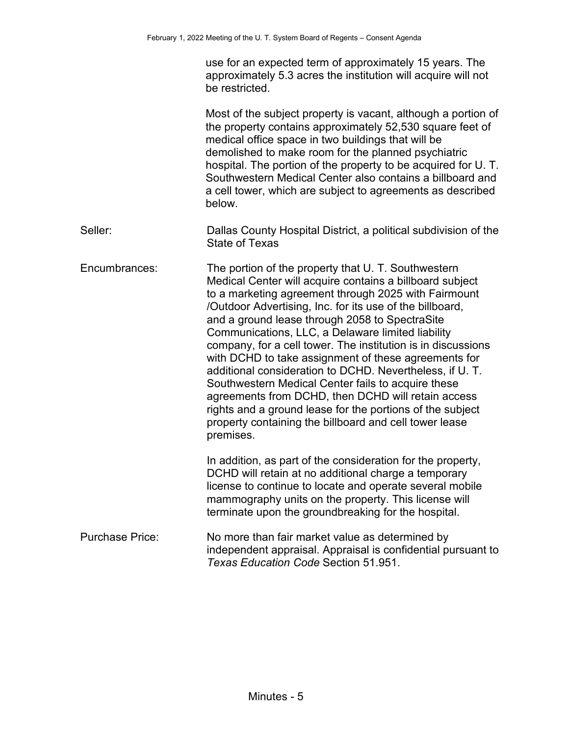| use for an expected term of approximately 15 years. The       |
|---------------------------------------------------------------|
| approximately 5.3 acres the institution will acquire will not |
| be restricted.                                                |

Most of the subject property is vacant, although a portion of the property contains approximately 52,530 square feet of medical office space in two buildings that will be demolished to make room for the planned psychiatric hospital. The portion of the property to be acquired for U. T. Southwestern Medical Center also contains a billboard and a cell tower, which are subject to agreements as described below.

Seller: Dallas County Hospital District, a political subdivision of the State of Texas

Encumbrances: The portion of the property that U. T. Southwestern Medical Center will acquire contains a billboard subject to a marketing agreement through 2025 with Fairmount /Outdoor Advertising, Inc. for its use of the billboard, and a ground lease through 2058 to SpectraSite Communications, LLC, a Delaware limited liability company, for a cell tower. The institution is in discussions with DCHD to take assignment of these agreements for additional consideration to DCHD. Nevertheless, if U. T. Southwestern Medical Center fails to acquire these agreements from DCHD, then DCHD will retain access rights and a ground lease for the portions of the subject property containing the billboard and cell tower lease premises.

> In addition, as part of the consideration for the property, DCHD will retain at no additional charge a temporary license to continue to locate and operate several mobile mammography units on the property. This license will terminate upon the groundbreaking for the hospital.

Purchase Price: No more than fair market value as determined by independent appraisal. Appraisal is confidential pursuant to *Texas Education Code* Section 51.951.